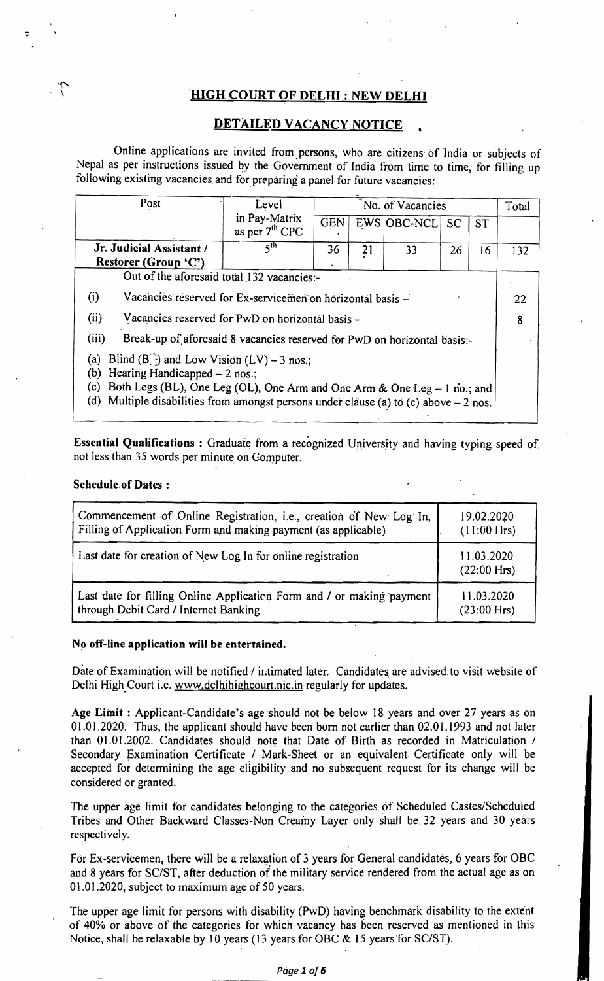# HIGH COURT OF DELHI: NEW DELHI

## DETAILED VACANCY NOTICE

Online applications are invited from ,persons, who are citizens of India or subjects of Nepal as per instructions issued by the Government of India from time to time, for filling up following existing vacancies and for preparing a panel for future vacancies:

| Post                                                                                                                                                                                                                                                                          | Level                             | No. of Vacancies |    |             |               | Total     |     |
|-------------------------------------------------------------------------------------------------------------------------------------------------------------------------------------------------------------------------------------------------------------------------------|-----------------------------------|------------------|----|-------------|---------------|-----------|-----|
|                                                                                                                                                                                                                                                                               | in Pay-Matrix<br>as per $7th$ CPC | GEN              |    | EWS OBC-NCL | <sub>SC</sub> | <b>ST</b> |     |
| Jr. Judicial Assistant /<br>Restorer (Group 'C')                                                                                                                                                                                                                              | $\varsigma^\text{th}$             | 36               | 21 | 33          | 26            | 16        | 132 |
| Out of the aforesaid total 132 vacancies:-                                                                                                                                                                                                                                    |                                   |                  |    |             |               |           |     |
| (i)<br>Vacancies reserved for Ex-servicemen on horizontal basis -                                                                                                                                                                                                             |                                   |                  |    |             | 22            |           |     |
| (ii)<br>Vacancies reserved for PwD on horizontal basis -                                                                                                                                                                                                                      |                                   |                  | 8  |             |               |           |     |
| (iii)<br>Break-up of aforesaid 8 vacancies reserved for PwD on horizontal basis:-                                                                                                                                                                                             |                                   |                  |    |             |               |           |     |
| Blind $(B_1)$ and Low Vision $(LV)$ – 3 nos.;<br>(a)<br>Hearing Handicapped $-2$ nos.;<br>(b)<br>Both Legs (BL), One Leg (OL), One Arm and One Arm & One Leg - 1 no.; and<br>(c)<br>(d)<br>Multiple disabilities from amongst persons under clause (a) to (c) above $-2$ nos. |                                   |                  |    |             |               |           |     |

Essential Qualifications: Graduate from a recognized University and having typing speed of not less than 3S words per minute on Computer.

#### Schedule.of Dates:

I

| Commencement of Online Registration, i.e., creation of New Log In,    | 19.02.2020                  |  |
|-----------------------------------------------------------------------|-----------------------------|--|
| Filling of Application Form and making payment (as applicable)        | $(11:00$ Hrs)               |  |
| Last date for creation of New Log In for online registration          | 11.03.2020<br>$(22:00$ Hrs) |  |
| Last date for filling Online Application Form and / or making payment | 11.03.2020                  |  |
| through Debit Card / Internet Banking                                 | $(23:00$ Hrs)               |  |

#### No off-line application will be entertained.

Date of Examination will be notified / intimated later. Candidates are advised to visit website of Delhi High Court i.e. www.delhihighcourt.nic.in regularly for updates.

Age Limit : Applicant-Candidate's age should not be below 18 years and over 27 years as on 01.01.2020. Thus, the applicant should have been born not earlier than 02.01.1993 and not later than 01.01.2002. Candidates should note that Date of Birth as recorded in Matriculation / Secondary Examination Certificate / Mark-Sheet or an equivalent Certificate only will be accepted for determining the age eligibility and no subsequent request for its change will be considered or granted.

The upper age limit for candidates belonging to the categories of Scheduled Castes/Scheduled Tribes and Other Backward Classes-Non Creamy Layer only shall be 32 years and 30 years respectively.

For Ex-servicemen, there will be a relaxation of 3 years for General candidates, 6 years for OBC and 8 years for *SCIST,* after deduction of the military service rendered from the actual age as on 01.01.2020, subject to maximum age of SO years.

The upper age limit for persons with disability (PwD) having benchmark disability to the extent of 40% or above of the categories for which vacancy has been reserved as mentioned in this Notice, shall be relaxable by IO years (13 years for OBC & IS years for *SC/ST).*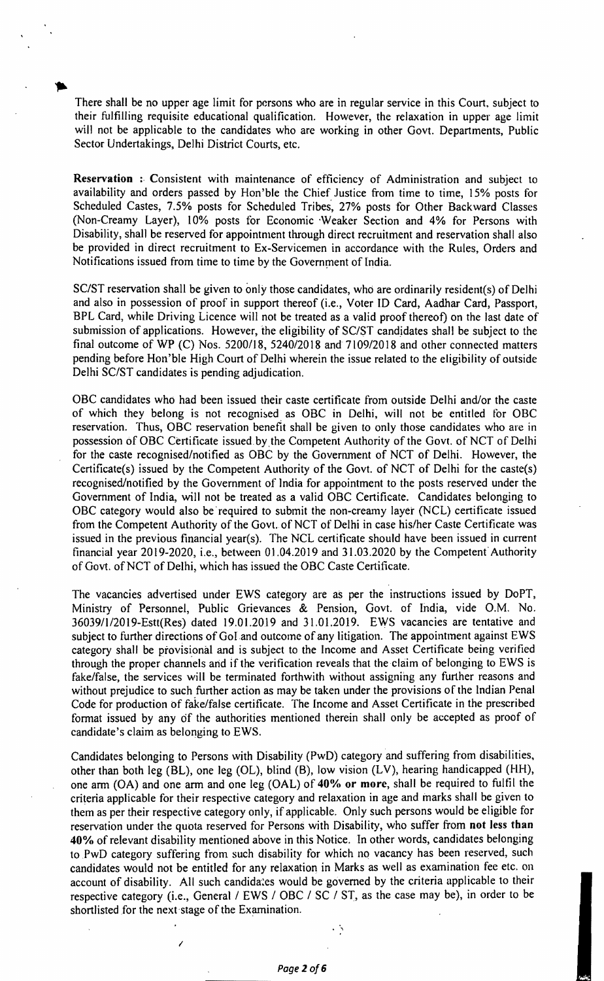There shall be no upper age limit for persons who are in regular service in this Court, subject to their fulfilling requisite educational qualification. However, the relaxation in upper age limit will not be applicable to the candidates who are working in other Govt. Departments, Public Sector Undertakings, Delhi District Courts, etc.

**Reservation :** Consistent with maintenance of efficiency of Administration and subject to availability and orders passed by Hon'ble the Chief Justice from time to time, 15% posts for Scheduled Castes, 7.5% posts for Scheduled Tribes, 27% posts for Other Backward Classes (Non-Creamy Layer), 10% posts tor Economic 'Weaker Section and 4% for Persons with Disability, shall be reserved for appointment through direct recruitment and reservation shall also be provided in direct recruitment to Ex-Servicemen in accordance with the Rules, Orders and Notifications issued from time to time by the Government of India.

SC/ST reservation shall be given to only those candidates, who are ordinarily resident(s) of Delhi and also in possession of proof in support thereof (i.e., Voter ID Card, Aadhar Card, Passport, BPL Card, while Driving Licence will not be treated as a valid proof thereof) on the last date of submission of applications. However, the eligibility of SC/ST candidates shall be subject to the final outcome of WP (C) Nos. 5200/18, 5240/2018 and 7109/2018 and other connected matters pending before Hon'ble High Court of Delhi wherein the issue related to the eligibility of outside Delhi SC/ST candidates is pending adjudication,

OBC candidates who had been issued their caste certificate from outside Delhi and/or the caste of which they belong is not recognised as OBC in Delhi, will not be entitled for OBC reservation. Thus, OBC reservation benefit shall be given to only those candidates who are in possession of OBC Certificate issued by the Competent Authority of the Govt. of NCT of Delhi for the caste recognised/notified as OBC by the Government of NCT of Delhi. However, the Certificate(s) issued by the Competent Authority of the Govt. of NCT of Delhi for the caste(s) recognised/notified by the Government of lndia for appointment to the posts reserved under the Government of India, will not be treated as a valid OBC Certificate. Candidates belonging to OBC category would also be' required to submit the non-creamy layer (NCL) certificate issued from the Competent Authority of the Govt. of NCT of Delhi in case his/her Caste Certificate was issued in the previous financial year(s). The NCL certiticate should have been issued in current financial year 2019-2020, i.e., between 01.04.2019 and 31.03.2020 by the Competent'Authority of Govt. of NCT of Delhi, which has issued the OBC Caste Certificate.

The vacancies advertised under EWS category are as per the instructions issued by DoPT, Ministry of Personnel, Public Grievances & Pension, Govt. of India, vide O.M. No. 36039/I12019-Estt(Res) dated 19.01.2019 and 31.01.2019. EWS vacancies are tentative and subject to further directions of GoI and outcome of any litigation. The appointment against EWS category shall be provisional and is subject to the Income and Asset Certificate being verified through the proper channels and if the verification reveals that the claim of belonging to EWS is fake/false, the services will be terminated forthwith without assigning any further reasons and without prejudice to such further action as may be taken under the provisions of the Indian Penal Code for production of fake/false certificate. The Income and Asset Certificate in the prescribed format issued by any of the authorities mentioned therein shall only be accepted as proof of candidate's claim as belonging to EWS.

Candidates belonging to Persons with Disability (PwD) category and suffering from disabilities, other than both leg (BL), one leg (OL), blind (B), low vision (LV), hearing handicapped (HH), one arm (OA) and one arm and one leg (OAL) of 40% or more, shall be required to fulfil the criteria applicable for their respective category and relaxation in age and marks shall be given to them as per their respective category only, if applicable. Only such persons would be eligible for reservation under the quota reserved for Persons with Disability, who suffer from not less than 40% of relevant disability mentioned above in this Notice. In other words, candidates belonging to PwD category suffering from such disability for which no vacancy has been reserved, such candidates would not be entitled for any relaxation in Marks as well as examination fee etc. on account of disability. All such candidates would be governed by the criteria applicable to their respective category (i.e., General / EWS / OBC / SC / ST, as the case may be), in order to be shortlisted for the next 'stage of the Examination.

I

. ,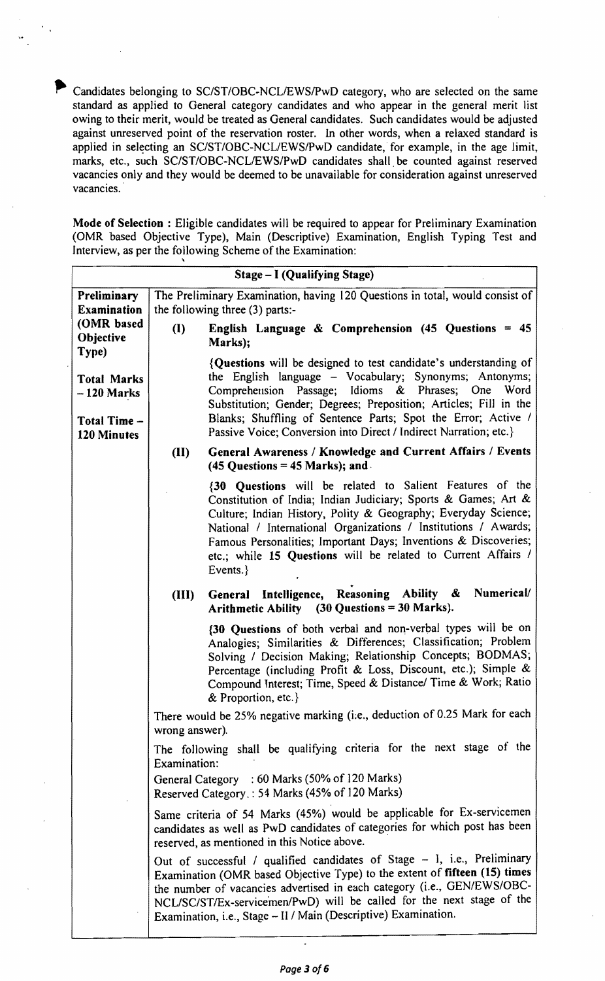Candidates belonging to SC/ST/OBC-NCL/EWS/PwD category, who are selected on the same standard as applied to General category candidates and who appear in the general merit list owing to their merit, would be treated as General candidates. Such candidates would be adjusted against unreserved point of the reservation roster. In other words, when a relaxed standard is applied in selecting an SC/ST/OBC-NCL/EWS/PwD candidate, for example, in the age limit, marks, etc., such SC/ST/OBC-NCL/EWS/PwD candidates shall be counted against reserved vacancies only and they would be deemed to be unavailable for consideration against unreserved vacancies.

Mode of Selection: Eligible candidates will be required to appear for Preliminary Examination (OMR based Objective Type), Main (Descriptive) Examination, English Typing Test and Interview, as per the following Scheme of the Examination:

|                                    | Stage – I (Qualifying Stage)                                                                                                                                                                                                                                                                                                                                                                                    |
|------------------------------------|-----------------------------------------------------------------------------------------------------------------------------------------------------------------------------------------------------------------------------------------------------------------------------------------------------------------------------------------------------------------------------------------------------------------|
| Preliminary                        | The Preliminary Examination, having 120 Questions in total, would consist of                                                                                                                                                                                                                                                                                                                                    |
| <b>Examination</b><br>(OMR based   | the following three (3) parts:-                                                                                                                                                                                                                                                                                                                                                                                 |
| Objective<br>Type)                 | English Language & Comprehension $(45 \text{ Questions} = 45)$<br>$\mathbf{I}$<br>Marks);                                                                                                                                                                                                                                                                                                                       |
| <b>Total Marks</b><br>$-120$ Marks | {Questions will be designed to test candidate's understanding of<br>the English language - Vocabulary; Synonyms; Antonyms;<br>Comprehension Passage; Idioms & Phrases; One Word<br>Substitution; Gender; Degrees; Preposition; Articles; Fill in the                                                                                                                                                            |
| Total Time -<br><b>120 Minutes</b> | Blanks; Shuffling of Sentence Parts; Spot the Error; Active /<br>Passive Voice; Conversion into Direct / Indirect Narration; etc.}                                                                                                                                                                                                                                                                              |
|                                    | General Awareness / Knowledge and Current Affairs / Events<br>(II)<br>$(45$ Questions = $45$ Marks); and                                                                                                                                                                                                                                                                                                        |
|                                    | {30 Questions will be related to Salient Features of the<br>Constitution of India; Indian Judiciary; Sports & Games; Art &<br>Culture; Indian History, Polity & Geography; Everyday Science;<br>National / International Organizations / Institutions / Awards;<br>Famous Personalities; Important Days; Inventions & Discoveries;<br>etc.; while 15 Questions will be related to Current Affairs /<br>Events.} |
|                                    | General Intelligence, Reasoning Ability & Numerical/<br>(III)<br>Arithmetic Ability (30 Questions = 30 Marks).                                                                                                                                                                                                                                                                                                  |
|                                    | {30 Questions of both verbal and non-verbal types will be on<br>Analogies; Similarities & Differences; Classification; Problem<br>Solving / Decision Making; Relationship Concepts; BODMAS;<br>Percentage (including Profit & Loss, Discount, etc.); Simple &<br>Compound Interest; Time, Speed & Distance/ Time & Work; Ratio<br>& Proportion, etc.}                                                           |
|                                    | There would be 25% negative marking (i.e., deduction of 0.25 Mark for each<br>wrong answer).                                                                                                                                                                                                                                                                                                                    |
|                                    | The following shall be qualifying criteria for the next stage of the<br>Examination:                                                                                                                                                                                                                                                                                                                            |
|                                    | General Category : 60 Marks (50% of 120 Marks)<br>Reserved Category.: 54 Marks (45% of 120 Marks)                                                                                                                                                                                                                                                                                                               |
|                                    | Same criteria of 54 Marks (45%) would be applicable for Ex-servicemen<br>candidates as well as PwD candidates of categories for which post has been<br>reserved, as mentioned in this Notice above.                                                                                                                                                                                                             |
|                                    | Out of successful / qualified candidates of Stage - I, i.e., Preliminary<br>Examination (OMR based Objective Type) to the extent of fifteen (15) times<br>the number of vacancies advertised in each category (i.e., GEN/EWS/OBC-<br>NCL/SC/ST/Ex-servicemen/PwD) will be called for the next stage of the<br>Examination, i.e., Stage - II / Main (Descriptive) Examination.                                   |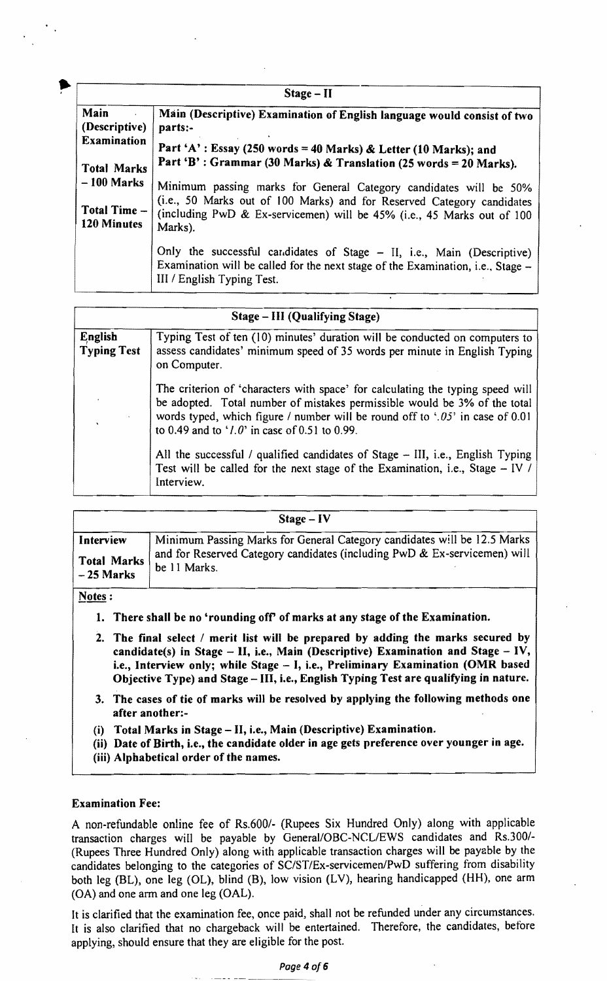|                                    | $Stage - II$                                                                                                                                                                            |
|------------------------------------|-----------------------------------------------------------------------------------------------------------------------------------------------------------------------------------------|
| Main<br>(Descriptive)              | Main (Descriptive) Examination of English language would consist of two<br>parts:-                                                                                                      |
| <b>Examination</b>                 | Part 'A': Essay (250 words = 40 Marks) & Letter (10 Marks); and                                                                                                                         |
| <b>Total Marks</b>                 | Part 'B': Grammar (30 Marks) & Translation (25 words = 20 Marks).                                                                                                                       |
| $-100$ Marks                       | Minimum passing marks for General Category candidates will be 50%                                                                                                                       |
| Total Time -<br><b>120 Minutes</b> | (i.e., 50 Marks out of 100 Marks) and for Reserved Category candidates<br>(including PwD & Ex-servicemen) will be 45% (i.e., 45 Marks out of 100<br>Marks).                             |
|                                    | Only the successful candidates of Stage – II, i.e., Main (Descriptive)<br>Examination will be called for the next stage of the Examination, i.e., Stage -<br>III / English Typing Test. |

| Stage - III (Qualifying Stage) |                                                                                                                                                                                                                                                                                                   |  |  |  |
|--------------------------------|---------------------------------------------------------------------------------------------------------------------------------------------------------------------------------------------------------------------------------------------------------------------------------------------------|--|--|--|
| English<br><b>Typing Test</b>  | Typing Test of ten (10) minutes' duration will be conducted on computers to<br>assess candidates' minimum speed of 35 words per minute in English Typing<br>on Computer.                                                                                                                          |  |  |  |
|                                | The criterion of 'characters with space' for calculating the typing speed will<br>be adopted. Total number of mistakes permissible would be 3% of the total<br>words typed, which figure / number will be round off to $.05$ in case of 0.01<br>to 0.49 and to ' $1.0$ ' in case of 0.51 to 0.99. |  |  |  |
|                                | All the successful / qualified candidates of Stage – III, i.e., English Typing<br>Test will be called for the next stage of the Examination, i.e., Stage - IV /<br>Interview.                                                                                                                     |  |  |  |

|                    | $Stage - IV$                                                              |
|--------------------|---------------------------------------------------------------------------|
| Interview          | Minimum Passing Marks for General Category candidates will be 12.5 Marks  |
| <b>Total Marks</b> | and for Reserved Category candidates (including PwD & Ex-servicemen) will |
| $-25$ Marks        | be 11 Marks.                                                              |

## Notes :

- 1. There shall be no 'rounding off' of marks at any stage of the Examination.
- 2. The final select  $\ell$  merit list will be prepared by adding the marks secured by candidate(s) in Stage - II, i.e., Main (Descriptive) Examination and Stage - IV, i.e., Interview only; while Stage - I, i.e., Preliminary Examination (OMR based Objective Type) and Stage - III, i.e., English Typing Test are qualifying in nature.
- 3. The cases of tie of marks will be resolved by applying the following methods one after another:
- (i) Total Marks in Stage II, i.e., Main (Descriptive) Examination.
- (ii) Date of Birth, i.e., the candidate older in age gets preference over younger in age.
- (iii) Alpbabetical order of the names.

#### Examination Fee:

A non-refundable online fee of Rs.600/- (Rupees Six Hundred Only) along with applicable transaction charges will be payable by General/OBC-NCL/EWS candidates and Rs.300/-(Rupees Three Hundred Only) along with applicable transaction charges will be payable by the candidates belonging to the categories of SC/ST/Ex-servicemen/PwD suffering from disability both leg (BL), one leg (OL), blind (B). low vision (LV), hearing handicapped (HH), one arm (OA) and one arm and one leg (OAL).

It is clarified that the examination fee, once paid, shall not be refunded under any circumstances. It is also clarified that no chargeback will be entertained. Therefore, the candidates, betore applying, should ensure that they are eligible for the post.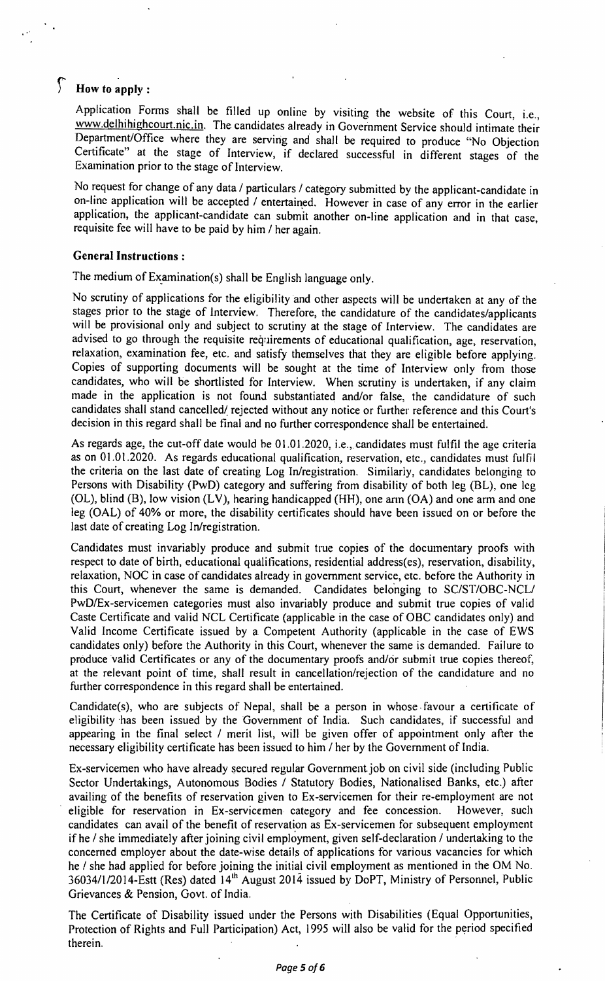# f **How to apply:**

Application Forms shall be filled up online by visiting the website of this Court, i.e., www.delhihighcourt.nic.in. The candidates already in Government Service should intimate their Department/Office where they are serving and shall be required to produce "No Objection Certificate" at the stage of Interview, if declared successful in different stages of the Examination prior to the stage of Interview.

No request for change of any data / particulars / category submitted by the applicant-candidate in on-line application will be accepted / entertained. However in case of any error in the earlier application, the applicant-candidate can submit another on-line application and in that case, requisite fee will have to be paid by him / her again.

## **General Instructions:**

The medium of Examination(s) shall be English language only.

No scrutiny of applications for the eligibility and other aspects will be undertaken at any of the stages prior to the stage of Interview. Therefore, the candidature of the candidates/applicants will be provisional only and subject to scrutiny at the stage of Interview. The candidates are advised to go through the requisite requirements of educational qualification, age, reservation, relaxation, examination fee, etc. and satisfy themselves that they are eligible before applying. Copies of supporting documents will be sought at the time of Interview only from those candidates, who will be shortlisted for Interview. When scrutiny is undertaken, if any claim made in the application is not found substantiated and/or false, the candidature of such candidates shall stand cancelled/ rejected without any notice or further reference and this Court's decision in this regard shall be final and no further correspondence shall be entertained.

As regards age, the cut-off date would be 01.01.2020, i.e., candidates must fulfil the age criteria as on 01.01.2020. As regards educational qualification, reservation, etc., candidates must fulfil the criteria on the last date of creating Log In/registration. Similarly, candidates belonging to Persons with Disability (PwD) category and suffering from disability of both leg (BL), one leg (OL), blind (B), low vision (LV), hearing handicapped (HH), one ann (OA) and one arm and one leg (OAL) of 40% or more, the disability certificates should have been issued on or before the last date of creating Log In/registration.

Candidates must invariably produce and submit true copies of the documentary proofs with respect to date of birth, educational qualifications, residential address(es), reservation, disability, relaxation, NOC in case of candidates already in government service, etc. before the Authority in this Court, whenever the same is demanded. Candidates belonging to SC/ST/OBC-NCL/ PwDlEx-servicemen categories must also invariably produce and submit true copies of valid Caste Certificate and valid NCL Certificate (applicable in the case of OBC candidates only) and Valid Income Certificate issued by a Competent Authority (applicable in the case of EWS candidates only) before the Authority in this Court, whenever the same is demanded. Failure to produce valid Certificates or any of the documentary proofs and/or submit true copies thereof, at the relevant point of time, shall result in cancellation/rejection of the candidature and no further correspondence in this regard shall be entertained.

Candidate(s), who are subjects of Nepal, shall be a person in whose· favour a certificate of eligibility has been issued by the Government of India. Such candidates, if successful and appearing in the final select / merit list, will be given offer of appointment only after the necessary eligibility certificate has been issued to him / her by the Government of India.

Ex-servicemen who have already secured regular Government job on civil side (including Public Sector Undertakings, Autonomous Bodies / Statutory Bodies, Nationalised Banks, etc.) after availing of the benefits of reservation given to Ex-servicemen for their re-employment are not eligible for reservation in Ex-servicemen category and fee concession. However, such candidates can avail of the benefit of reservation as Ex-servicemen for subsequent employment if he / she immediately after joining civil employment, given self-declaration / undertaking to the concerned employer about the date-wise details of applications for various vacancies for which he / she had applied for before joining the initial civil employment as mentioned in the OM No. 36034/1/2014-Estt (Res) dated 14<sup>th</sup> August 2014 issued by DoPT, Ministry of Personnel, Public Grievances & Pension, Govt. of India.

The Certificate of Disability issued under the Persons with Disabilities (Equal Opportunities, Protection of Rights and Full Participation) Act, 1995 will also be valid for the period specified therein. The contract of the contract of the contract of the contract of the contract of the contract of the contract of the contract of the contract of the contract of the contract of the contract of the contract of the c